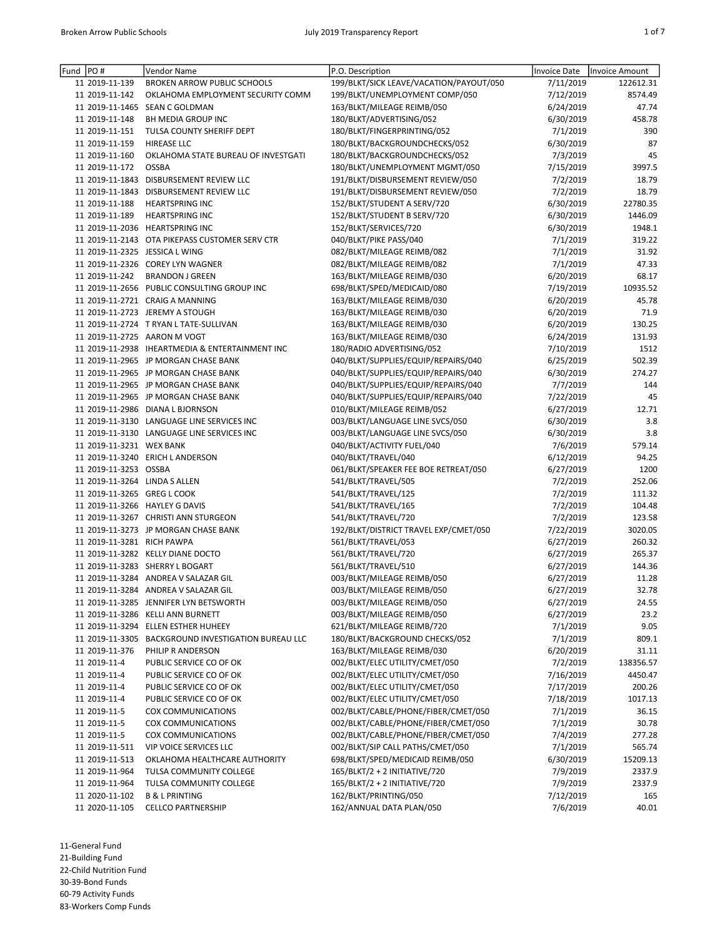| Fund PO# |                               | Vendor Name                                         | P.O. Description                        | Invoice Date | <b>Invoice Amount</b> |
|----------|-------------------------------|-----------------------------------------------------|-----------------------------------------|--------------|-----------------------|
|          | 11 2019-11-139                | <b>BROKEN ARROW PUBLIC SCHOOLS</b>                  | 199/BLKT/SICK LEAVE/VACATION/PAYOUT/050 | 7/11/2019    | 122612.31             |
|          | 11 2019-11-142                | OKLAHOMA EMPLOYMENT SECURITY COMM                   | 199/BLKT/UNEMPLOYMENT COMP/050          | 7/12/2019    | 8574.49               |
|          |                               | 11 2019-11-1465 SEAN C GOLDMAN                      | 163/BLKT/MILEAGE REIMB/050              | 6/24/2019    | 47.74                 |
|          | 11 2019-11-148                | <b>BH MEDIA GROUP INC</b>                           | 180/BLKT/ADVERTISING/052                | 6/30/2019    | 458.78                |
|          | 11 2019-11-151                | TULSA COUNTY SHERIFF DEPT                           | 180/BLKT/FINGERPRINTING/052             | 7/1/2019     | 390                   |
|          | 11 2019-11-159                | HIREASE LLC                                         | 180/BLKT/BACKGROUNDCHECKS/052           | 6/30/2019    | 87                    |
|          | 11 2019-11-160                | OKLAHOMA STATE BUREAU OF INVESTGATI                 | 180/BLKT/BACKGROUNDCHECKS/052           | 7/3/2019     | 45                    |
|          | 11 2019-11-172                | <b>OSSBA</b>                                        | 180/BLKT/UNEMPLOYMENT MGMT/050          | 7/15/2019    | 3997.5                |
|          |                               | 11 2019-11-1843 DISBURSEMENT REVIEW LLC             | 191/BLKT/DISBURSEMENT REVIEW/050        | 7/2/2019     | 18.79                 |
|          |                               | 11 2019-11-1843 DISBURSEMENT REVIEW LLC             | 191/BLKT/DISBURSEMENT REVIEW/050        | 7/2/2019     | 18.79                 |
|          | 11 2019-11-188                | <b>HEARTSPRING INC</b>                              | 152/BLKT/STUDENT A SERV/720             | 6/30/2019    | 22780.35              |
|          | 11 2019-11-189                | <b>HEARTSPRING INC</b>                              | 152/BLKT/STUDENT B SERV/720             | 6/30/2019    | 1446.09               |
|          |                               | 11 2019-11-2036 HEARTSPRING INC                     | 152/BLKT/SERVICES/720                   | 6/30/2019    | 1948.1                |
|          |                               | 11 2019-11-2143 OTA PIKEPASS CUSTOMER SERV CTR      | 040/BLKT/PIKE PASS/040                  | 7/1/2019     | 319.22                |
|          |                               | 11 2019-11-2325 JESSICA L WING                      | 082/BLKT/MILEAGE REIMB/082              | 7/1/2019     | 31.92                 |
|          |                               | 11 2019-11-2326 COREY LYN WAGNER                    | 082/BLKT/MILEAGE REIMB/082              | 7/1/2019     | 47.33                 |
|          | 11 2019-11-242                | <b>BRANDON J GREEN</b>                              | 163/BLKT/MILEAGE REIMB/030              | 6/20/2019    | 68.17                 |
|          |                               | 11 2019-11-2656 PUBLIC CONSULTING GROUP INC         | 698/BLKT/SPED/MEDICAID/080              | 7/19/2019    | 10935.52              |
|          |                               | 11 2019-11-2721 CRAIG A MANNING                     | 163/BLKT/MILEAGE REIMB/030              | 6/20/2019    | 45.78                 |
|          |                               | 11 2019-11-2723 JEREMY A STOUGH                     | 163/BLKT/MILEAGE REIMB/030              | 6/20/2019    | 71.9                  |
|          |                               | 11 2019-11-2724 T RYAN L TATE-SULLIVAN              | 163/BLKT/MILEAGE REIMB/030              | 6/20/2019    | 130.25                |
|          |                               | 11 2019-11-2725 AARON M VOGT                        | 163/BLKT/MILEAGE REIMB/030              | 6/24/2019    | 131.93                |
|          |                               | 11 2019-11-2938 IHEARTMEDIA & ENTERTAINMENT INC     | 180/RADIO ADVERTISING/052               | 7/10/2019    | 1512                  |
|          |                               | 11 2019-11-2965 JP MORGAN CHASE BANK                | 040/BLKT/SUPPLIES/EQUIP/REPAIRS/040     | 6/25/2019    | 502.39                |
|          |                               | 11 2019-11-2965 JP MORGAN CHASE BANK                | 040/BLKT/SUPPLIES/EQUIP/REPAIRS/040     | 6/30/2019    | 274.27                |
|          |                               | 11 2019-11-2965 JP MORGAN CHASE BANK                | 040/BLKT/SUPPLIES/EQUIP/REPAIRS/040     | 7/7/2019     | 144                   |
|          |                               | 11 2019-11-2965 JP MORGAN CHASE BANK                | 040/BLKT/SUPPLIES/EQUIP/REPAIRS/040     | 7/22/2019    | 45                    |
|          |                               | 11 2019-11-2986 DIANA L BJORNSON                    | 010/BLKT/MILEAGE REIMB/052              | 6/27/2019    | 12.71                 |
|          |                               | 11 2019-11-3130 LANGUAGE LINE SERVICES INC          | 003/BLKT/LANGUAGE LINE SVCS/050         | 6/30/2019    | 3.8                   |
|          |                               | 11 2019-11-3130 LANGUAGE LINE SERVICES INC          | 003/BLKT/LANGUAGE LINE SVCS/050         | 6/30/2019    | 3.8                   |
|          | 11 2019-11-3231 WEX BANK      |                                                     | 040/BLKT/ACTIVITY FUEL/040              | 7/6/2019     | 579.14                |
|          |                               | 11 2019-11-3240 ERICH L ANDERSON                    | 040/BLKT/TRAVEL/040                     | 6/12/2019    | 94.25                 |
|          | 11 2019-11-3253 OSSBA         |                                                     | 061/BLKT/SPEAKER FEE BOE RETREAT/050    | 6/27/2019    | 1200                  |
|          | 11 2019-11-3264 LINDA S ALLEN |                                                     | 541/BLKT/TRAVEL/505                     | 7/2/2019     | 252.06                |
|          | 11 2019-11-3265 GREG L COOK   |                                                     | 541/BLKT/TRAVEL/125                     | 7/2/2019     | 111.32                |
|          |                               | 11 2019-11-3266 HAYLEY G DAVIS                      | 541/BLKT/TRAVEL/165                     | 7/2/2019     | 104.48                |
|          |                               | 11 2019-11-3267 CHRISTI ANN STURGEON                | 541/BLKT/TRAVEL/720                     | 7/2/2019     | 123.58                |
|          |                               | 11 2019-11-3273 JP MORGAN CHASE BANK                | 192/BLKT/DISTRICT TRAVEL EXP/CMET/050   | 7/22/2019    | 3020.05               |
|          | 11 2019-11-3281 RICH PAWPA    |                                                     | 561/BLKT/TRAVEL/053                     | 6/27/2019    | 260.32                |
|          |                               | 11 2019-11-3282 KELLY DIANE DOCTO                   | 561/BLKT/TRAVEL/720                     | 6/27/2019    | 265.37                |
|          |                               | 11 2019-11-3283 SHERRY L BOGART                     | 561/BLKT/TRAVEL/510                     | 6/27/2019    | 144.36                |
|          |                               | 11 2019-11-3284 ANDREA V SALAZAR GIL                | 003/BLKT/MILEAGE REIMB/050              | 6/27/2019    | 11.28                 |
|          |                               | 11 2019-11-3284 ANDREA V SALAZAR GIL                | 003/BLKT/MILEAGE REIMB/050              | 6/27/2019    | 32.78                 |
|          |                               | 11 2019-11-3285 JENNIFER LYN BETSWORTH              | 003/BLKT/MILEAGE REIMB/050              | 6/27/2019    | 24.55                 |
|          |                               | 11 2019-11-3286 KELLI ANN BURNETT                   | 003/BLKT/MILEAGE REIMB/050              | 6/27/2019    | 23.2                  |
|          |                               | 11 2019-11-3294 ELLEN ESTHER HUHEEY                 | 621/BLKT/MILEAGE REIMB/720              | 7/1/2019     | 9.05                  |
|          |                               | 11 2019-11-3305 BACKGROUND INVESTIGATION BUREAU LLC | 180/BLKT/BACKGROUND CHECKS/052          | 7/1/2019     | 809.1                 |
|          | 11 2019-11-376                | PHILIP R ANDERSON                                   | 163/BLKT/MILEAGE REIMB/030              | 6/20/2019    | 31.11                 |
|          | 11 2019-11-4                  | PUBLIC SERVICE CO OF OK                             | 002/BLKT/ELEC UTILITY/CMET/050          | 7/2/2019     | 138356.57             |
|          | 11 2019-11-4                  | PUBLIC SERVICE CO OF OK                             | 002/BLKT/ELEC UTILITY/CMET/050          | 7/16/2019    | 4450.47               |
|          | 11 2019-11-4                  | PUBLIC SERVICE CO OF OK                             | 002/BLKT/ELEC UTILITY/CMET/050          | 7/17/2019    | 200.26                |
|          | 11 2019-11-4                  | PUBLIC SERVICE CO OF OK                             | 002/BLKT/ELEC UTILITY/CMET/050          | 7/18/2019    | 1017.13               |
|          | 11 2019-11-5                  | COX COMMUNICATIONS                                  | 002/BLKT/CABLE/PHONE/FIBER/CMET/050     | 7/1/2019     | 36.15                 |
|          | 11 2019-11-5                  | COX COMMUNICATIONS                                  | 002/BLKT/CABLE/PHONE/FIBER/CMET/050     | 7/1/2019     | 30.78                 |
|          | 11 2019-11-5                  | COX COMMUNICATIONS                                  | 002/BLKT/CABLE/PHONE/FIBER/CMET/050     | 7/4/2019     | 277.28                |
|          | 11 2019-11-511                | VIP VOICE SERVICES LLC                              | 002/BLKT/SIP CALL PATHS/CMET/050        | 7/1/2019     | 565.74                |
|          | 11 2019-11-513                | OKLAHOMA HEALTHCARE AUTHORITY                       | 698/BLKT/SPED/MEDICAID REIMB/050        | 6/30/2019    | 15209.13              |
|          | 11 2019-11-964                | TULSA COMMUNITY COLLEGE                             | 165/BLKT/2 + 2 INITIATIVE/720           | 7/9/2019     | 2337.9                |
|          | 11 2019-11-964                | TULSA COMMUNITY COLLEGE                             | 165/BLKT/2 + 2 INITIATIVE/720           | 7/9/2019     | 2337.9                |
|          | 11 2020-11-102                | <b>B &amp; L PRINTING</b>                           | 162/BLKT/PRINTING/050                   | 7/12/2019    | 165                   |
|          | 11 2020-11-105                | <b>CELLCO PARTNERSHIP</b>                           | 162/ANNUAL DATA PLAN/050                | 7/6/2019     | 40.01                 |

11-General Fund 21-Building Fund 22-Child Nutrition Fund 30-39-Bond Funds 60-79 Activity Funds 83-Workers Comp Funds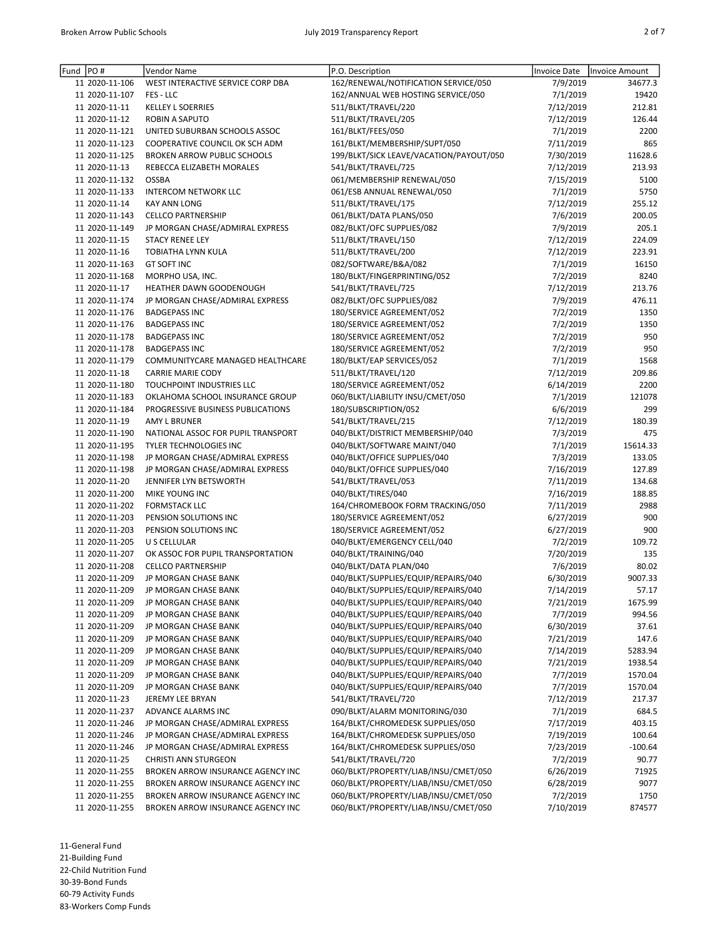| ۰, |  |
|----|--|

| Fund | PO#            | Vendor Name                        | P.O. Description                                                             | Invoice Date | Invoice Amount |
|------|----------------|------------------------------------|------------------------------------------------------------------------------|--------------|----------------|
|      | 11 2020-11-106 | WEST INTERACTIVE SERVICE CORP DBA  | 162/RENEWAL/NOTIFICATION SERVICE/050                                         | 7/9/2019     | 34677.3        |
|      | 11 2020-11-107 | FES - LLC                          | 162/ANNUAL WEB HOSTING SERVICE/050                                           | 7/1/2019     | 19420          |
|      | 11 2020-11-11  | <b>KELLEY L SOERRIES</b>           | 511/BLKT/TRAVEL/220                                                          | 7/12/2019    | 212.81         |
|      | 11 2020-11-12  | <b>ROBIN A SAPUTO</b>              | 511/BLKT/TRAVEL/205                                                          | 7/12/2019    | 126.44         |
|      | 11 2020-11-121 | UNITED SUBURBAN SCHOOLS ASSOC      | 161/BLKT/FEES/050                                                            | 7/1/2019     | 2200           |
|      | 11 2020-11-123 | COOPERATIVE COUNCIL OK SCH ADM     | 161/BLKT/MEMBERSHIP/SUPT/050                                                 | 7/11/2019    | 865            |
|      | 11 2020-11-125 | <b>BROKEN ARROW PUBLIC SCHOOLS</b> | 199/BLKT/SICK LEAVE/VACATION/PAYOUT/050                                      | 7/30/2019    | 11628.6        |
|      | 11 2020-11-13  | REBECCA ELIZABETH MORALES          | 541/BLKT/TRAVEL/725                                                          | 7/12/2019    | 213.93         |
|      | 11 2020-11-132 | <b>OSSBA</b>                       | 061/MEMBERSHIP RENEWAL/050                                                   | 7/15/2019    | 5100           |
|      | 11 2020-11-133 | <b>INTERCOM NETWORK LLC</b>        | 061/ESB ANNUAL RENEWAL/050                                                   | 7/1/2019     | 5750           |
|      | 11 2020-11-14  | <b>KAY ANN LONG</b>                | 511/BLKT/TRAVEL/175                                                          | 7/12/2019    | 255.12         |
|      | 11 2020-11-143 | <b>CELLCO PARTNERSHIP</b>          | 061/BLKT/DATA PLANS/050                                                      | 7/6/2019     | 200.05         |
|      | 11 2020-11-149 | JP MORGAN CHASE/ADMIRAL EXPRESS    | 082/BLKT/OFC SUPPLIES/082                                                    | 7/9/2019     | 205.1          |
|      | 11 2020-11-15  | <b>STACY RENEE LEY</b>             | 511/BLKT/TRAVEL/150                                                          | 7/12/2019    | 224.09         |
|      | 11 2020-11-16  | TOBIATHA LYNN KULA                 | 511/BLKT/TRAVEL/200                                                          | 7/12/2019    | 223.91         |
|      | 11 2020-11-163 | <b>GT SOFT INC</b>                 | 082/SOFTWARE/B&A/082                                                         | 7/1/2019     | 16150          |
|      | 11 2020-11-168 | MORPHO USA, INC.                   | 180/BLKT/FINGERPRINTING/052                                                  | 7/2/2019     | 8240           |
|      | 11 2020-11-17  | HEATHER DAWN GOODENOUGH            | 541/BLKT/TRAVEL/725                                                          | 7/12/2019    | 213.76         |
|      | 11 2020-11-174 | JP MORGAN CHASE/ADMIRAL EXPRESS    | 082/BLKT/OFC SUPPLIES/082                                                    | 7/9/2019     | 476.11         |
|      | 11 2020-11-176 | <b>BADGEPASS INC</b>               | 180/SERVICE AGREEMENT/052                                                    | 7/2/2019     | 1350           |
|      | 11 2020-11-176 | <b>BADGEPASS INC</b>               | 180/SERVICE AGREEMENT/052                                                    | 7/2/2019     | 1350           |
|      | 11 2020-11-178 | <b>BADGEPASS INC</b>               | 180/SERVICE AGREEMENT/052                                                    | 7/2/2019     | 950            |
|      | 11 2020-11-178 | <b>BADGEPASS INC</b>               | 180/SERVICE AGREEMENT/052                                                    | 7/2/2019     | 950            |
|      | 11 2020-11-179 | COMMUNITYCARE MANAGED HEALTHCARE   | 180/BLKT/EAP SERVICES/052                                                    | 7/1/2019     | 1568           |
|      | 11 2020-11-18  | <b>CARRIE MARIE CODY</b>           | 511/BLKT/TRAVEL/120                                                          | 7/12/2019    | 209.86         |
|      | 11 2020-11-180 | TOUCHPOINT INDUSTRIES LLC          | 180/SERVICE AGREEMENT/052                                                    | 6/14/2019    | 2200           |
|      | 11 2020-11-183 | OKLAHOMA SCHOOL INSURANCE GROUP    | 060/BLKT/LIABILITY INSU/CMET/050                                             | 7/1/2019     | 121078         |
|      | 11 2020-11-184 | PROGRESSIVE BUSINESS PUBLICATIONS  | 180/SUBSCRIPTION/052                                                         | 6/6/2019     | 299            |
|      | 11 2020-11-19  | <b>AMY L BRUNER</b>                | 541/BLKT/TRAVEL/215                                                          | 7/12/2019    | 180.39         |
|      | 11 2020-11-190 | NATIONAL ASSOC FOR PUPIL TRANSPORT | 040/BLKT/DISTRICT MEMBERSHIP/040                                             | 7/3/2019     | 475            |
|      | 11 2020-11-195 | TYLER TECHNOLOGIES INC             | 040/BLKT/SOFTWARE MAINT/040                                                  | 7/1/2019     | 15614.33       |
|      | 11 2020-11-198 | JP MORGAN CHASE/ADMIRAL EXPRESS    | 040/BLKT/OFFICE SUPPLIES/040                                                 | 7/3/2019     | 133.05         |
|      | 11 2020-11-198 | JP MORGAN CHASE/ADMIRAL EXPRESS    | 040/BLKT/OFFICE SUPPLIES/040                                                 | 7/16/2019    | 127.89         |
|      | 11 2020-11-20  | JENNIFER LYN BETSWORTH             | 541/BLKT/TRAVEL/053                                                          | 7/11/2019    | 134.68         |
|      | 11 2020-11-200 | MIKE YOUNG INC                     | 040/BLKT/TIRES/040                                                           | 7/16/2019    | 188.85         |
|      | 11 2020-11-202 | <b>FORMSTACK LLC</b>               | 164/CHROMEBOOK FORM TRACKING/050                                             | 7/11/2019    | 2988           |
|      | 11 2020-11-203 | PENSION SOLUTIONS INC              | 180/SERVICE AGREEMENT/052                                                    | 6/27/2019    | 900            |
|      | 11 2020-11-203 | PENSION SOLUTIONS INC              | 180/SERVICE AGREEMENT/052                                                    | 6/27/2019    | 900            |
|      | 11 2020-11-205 | U S CELLULAR                       | 040/BLKT/EMERGENCY CELL/040                                                  | 7/2/2019     | 109.72         |
|      | 11 2020-11-207 | OK ASSOC FOR PUPIL TRANSPORTATION  | 040/BLKT/TRAINING/040                                                        | 7/20/2019    | 135            |
|      | 11 2020-11-208 | <b>CELLCO PARTNERSHIP</b>          | 040/BLKT/DATA PLAN/040                                                       | 7/6/2019     | 80.02          |
|      | 11 2020-11-209 | JP MORGAN CHASE BANK               | 040/BLKT/SUPPLIES/EQUIP/REPAIRS/040                                          | 6/30/2019    | 9007.33        |
|      | 11 2020-11-209 | JP MORGAN CHASE BANK               | 040/BLKT/SUPPLIES/EQUIP/REPAIRS/040                                          | 7/14/2019    | 57.17          |
|      | 11 2020-11-209 | JP MORGAN CHASE BANK               | 040/BLKT/SUPPLIES/EQUIP/REPAIRS/040                                          | 7/21/2019    | 1675.99        |
|      | 11 2020-11-209 | JP MORGAN CHASE BANK               | 040/BLKT/SUPPLIES/EQUIP/REPAIRS/040                                          | 7/7/2019     | 994.56         |
|      | 11 2020-11-209 | JP MORGAN CHASE BANK               | 040/BLKT/SUPPLIES/EQUIP/REPAIRS/040                                          | 6/30/2019    | 37.61          |
|      | 11 2020-11-209 | JP MORGAN CHASE BANK               | 040/BLKT/SUPPLIES/EQUIP/REPAIRS/040                                          | 7/21/2019    | 147.6          |
|      | 11 2020-11-209 | JP MORGAN CHASE BANK               | 040/BLKT/SUPPLIES/EQUIP/REPAIRS/040                                          | 7/14/2019    | 5283.94        |
|      | 11 2020-11-209 | JP MORGAN CHASE BANK               | 040/BLKT/SUPPLIES/EQUIP/REPAIRS/040                                          | 7/21/2019    | 1938.54        |
|      | 11 2020-11-209 | JP MORGAN CHASE BANK               | 040/BLKT/SUPPLIES/EQUIP/REPAIRS/040                                          | 7/7/2019     | 1570.04        |
|      | 11 2020-11-209 | JP MORGAN CHASE BANK               | 040/BLKT/SUPPLIES/EQUIP/REPAIRS/040                                          | 7/7/2019     | 1570.04        |
|      | 11 2020-11-23  | JEREMY LEE BRYAN                   | 541/BLKT/TRAVEL/720                                                          | 7/12/2019    | 217.37         |
|      | 11 2020-11-237 | ADVANCE ALARMS INC                 | 090/BLKT/ALARM MONITORING/030                                                | 7/1/2019     | 684.5          |
|      | 11 2020-11-246 | JP MORGAN CHASE/ADMIRAL EXPRESS    | 164/BLKT/CHROMEDESK SUPPLIES/050                                             | 7/17/2019    | 403.15         |
|      | 11 2020-11-246 | JP MORGAN CHASE/ADMIRAL EXPRESS    | 164/BLKT/CHROMEDESK SUPPLIES/050                                             | 7/19/2019    | 100.64         |
|      | 11 2020-11-246 | JP MORGAN CHASE/ADMIRAL EXPRESS    | 164/BLKT/CHROMEDESK SUPPLIES/050                                             | 7/23/2019    | $-100.64$      |
|      | 11 2020-11-25  | <b>CHRISTI ANN STURGEON</b>        | 541/BLKT/TRAVEL/720                                                          | 7/2/2019     | 90.77          |
|      | 11 2020-11-255 | BROKEN ARROW INSURANCE AGENCY INC  | 060/BLKT/PROPERTY/LIAB/INSU/CMET/050<br>060/BLKT/PROPERTY/LIAB/INSU/CMET/050 | 6/26/2019    | 71925          |
|      | 11 2020-11-255 | BROKEN ARROW INSURANCE AGENCY INC  | 060/BLKT/PROPERTY/LIAB/INSU/CMET/050                                         | 6/28/2019    | 9077           |
|      | 11 2020-11-255 | BROKEN ARROW INSURANCE AGENCY INC  |                                                                              | 7/2/2019     | 1750           |
|      | 11 2020-11-255 | BROKEN ARROW INSURANCE AGENCY INC  | 060/BLKT/PROPERTY/LIAB/INSU/CMET/050                                         | 7/10/2019    | 874577         |

11-General Fund

21-Building Fund

22-Child Nutrition Fund

30-39-Bond Funds

60-79 Activity Funds 83-Workers Comp Funds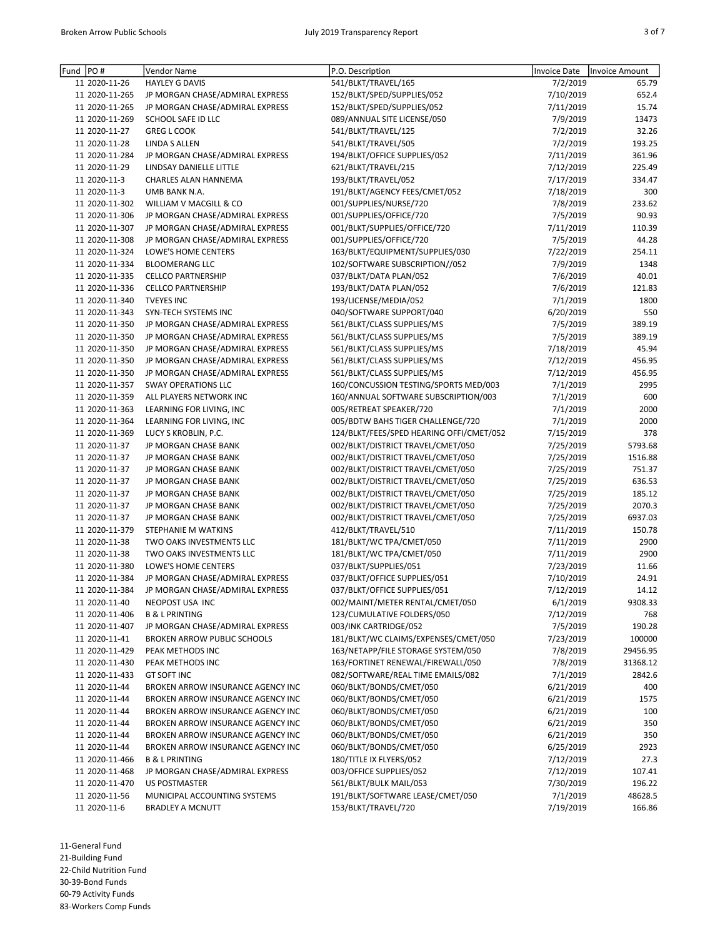| I<br>I |  |  |  |
|--------|--|--|--|
|--------|--|--|--|

| PO#<br>Fund    | Vendor Name                        | P.O. Description                         | Invoice Date | <b>Invoice Amount</b> |
|----------------|------------------------------------|------------------------------------------|--------------|-----------------------|
| 11 2020-11-26  | <b>HAYLEY G DAVIS</b>              | 541/BLKT/TRAVEL/165                      | 7/2/2019     | 65.79                 |
| 11 2020-11-265 | JP MORGAN CHASE/ADMIRAL EXPRESS    | 152/BLKT/SPED/SUPPLIES/052               | 7/10/2019    | 652.4                 |
| 11 2020-11-265 | JP MORGAN CHASE/ADMIRAL EXPRESS    | 152/BLKT/SPED/SUPPLIES/052               | 7/11/2019    | 15.74                 |
| 11 2020-11-269 | SCHOOL SAFE ID LLC                 | 089/ANNUAL SITE LICENSE/050              | 7/9/2019     | 13473                 |
| 11 2020-11-27  | <b>GREG L COOK</b>                 | 541/BLKT/TRAVEL/125                      | 7/2/2019     | 32.26                 |
| 11 2020-11-28  | LINDA S ALLEN                      | 541/BLKT/TRAVEL/505                      | 7/2/2019     | 193.25                |
| 11 2020-11-284 | JP MORGAN CHASE/ADMIRAL EXPRESS    | 194/BLKT/OFFICE SUPPLIES/052             | 7/11/2019    | 361.96                |
| 11 2020-11-29  | LINDSAY DANIELLE LITTLE            | 621/BLKT/TRAVEL/215                      | 7/12/2019    | 225.49                |
| 11 2020-11-3   | <b>CHARLES ALAN HANNEMA</b>        | 193/BLKT/TRAVEL/052                      | 7/17/2019    | 334.47                |
| 11 2020-11-3   | UMB BANK N.A.                      | 191/BLKT/AGENCY FEES/CMET/052            | 7/18/2019    | 300                   |
| 11 2020-11-302 | WILLIAM V MACGILL & CO             | 001/SUPPLIES/NURSE/720                   | 7/8/2019     | 233.62                |
| 11 2020-11-306 | JP MORGAN CHASE/ADMIRAL EXPRESS    | 001/SUPPLIES/OFFICE/720                  | 7/5/2019     | 90.93                 |
| 11 2020-11-307 | JP MORGAN CHASE/ADMIRAL EXPRESS    | 001/BLKT/SUPPLIES/OFFICE/720             | 7/11/2019    | 110.39                |
| 11 2020-11-308 | JP MORGAN CHASE/ADMIRAL EXPRESS    | 001/SUPPLIES/OFFICE/720                  | 7/5/2019     | 44.28                 |
| 11 2020-11-324 | LOWE'S HOME CENTERS                | 163/BLKT/EQUIPMENT/SUPPLIES/030          | 7/22/2019    | 254.11                |
| 11 2020-11-334 | <b>BLOOMERANG LLC</b>              | 102/SOFTWARE SUBSCRIPTION//052           | 7/9/2019     | 1348                  |
| 11 2020-11-335 | <b>CELLCO PARTNERSHIP</b>          | 037/BLKT/DATA PLAN/052                   | 7/6/2019     | 40.01                 |
| 11 2020-11-336 | <b>CELLCO PARTNERSHIP</b>          | 193/BLKT/DATA PLAN/052                   | 7/6/2019     | 121.83                |
| 11 2020-11-340 | <b>TVEYES INC</b>                  | 193/LICENSE/MEDIA/052                    | 7/1/2019     | 1800                  |
| 11 2020-11-343 | SYN-TECH SYSTEMS INC               | 040/SOFTWARE SUPPORT/040                 | 6/20/2019    | 550                   |
| 11 2020-11-350 | JP MORGAN CHASE/ADMIRAL EXPRESS    | 561/BLKT/CLASS SUPPLIES/MS               | 7/5/2019     | 389.19                |
| 11 2020-11-350 | JP MORGAN CHASE/ADMIRAL EXPRESS    | 561/BLKT/CLASS SUPPLIES/MS               | 7/5/2019     | 389.19                |
| 11 2020-11-350 | JP MORGAN CHASE/ADMIRAL EXPRESS    | 561/BLKT/CLASS SUPPLIES/MS               | 7/18/2019    | 45.94                 |
| 11 2020-11-350 | JP MORGAN CHASE/ADMIRAL EXPRESS    | 561/BLKT/CLASS SUPPLIES/MS               | 7/12/2019    | 456.95                |
| 11 2020-11-350 | JP MORGAN CHASE/ADMIRAL EXPRESS    | 561/BLKT/CLASS SUPPLIES/MS               | 7/12/2019    | 456.95                |
| 11 2020-11-357 | <b>SWAY OPERATIONS LLC</b>         | 160/CONCUSSION TESTING/SPORTS MED/003    | 7/1/2019     | 2995                  |
| 11 2020-11-359 | ALL PLAYERS NETWORK INC            | 160/ANNUAL SOFTWARE SUBSCRIPTION/003     | 7/1/2019     | 600                   |
| 11 2020-11-363 | LEARNING FOR LIVING, INC           | 005/RETREAT SPEAKER/720                  | 7/1/2019     | 2000                  |
| 11 2020-11-364 | LEARNING FOR LIVING, INC           | 005/BDTW BAHS TIGER CHALLENGE/720        | 7/1/2019     | 2000                  |
| 11 2020-11-369 | LUCY S KROBLIN, P.C.               | 124/BLKT/FEES/SPED HEARING OFFI/CMET/052 | 7/15/2019    | 378                   |
| 11 2020-11-37  | JP MORGAN CHASE BANK               | 002/BLKT/DISTRICT TRAVEL/CMET/050        | 7/25/2019    | 5793.68               |
| 11 2020-11-37  | JP MORGAN CHASE BANK               | 002/BLKT/DISTRICT TRAVEL/CMET/050        | 7/25/2019    | 1516.88               |
| 11 2020-11-37  | JP MORGAN CHASE BANK               | 002/BLKT/DISTRICT TRAVEL/CMET/050        | 7/25/2019    | 751.37                |
| 11 2020-11-37  | JP MORGAN CHASE BANK               | 002/BLKT/DISTRICT TRAVEL/CMET/050        | 7/25/2019    | 636.53                |
| 11 2020-11-37  | JP MORGAN CHASE BANK               | 002/BLKT/DISTRICT TRAVEL/CMET/050        | 7/25/2019    | 185.12                |
| 11 2020-11-37  | JP MORGAN CHASE BANK               | 002/BLKT/DISTRICT TRAVEL/CMET/050        | 7/25/2019    | 2070.3                |
| 11 2020-11-37  | JP MORGAN CHASE BANK               | 002/BLKT/DISTRICT TRAVEL/CMET/050        | 7/25/2019    | 6937.03               |
| 11 2020-11-379 | STEPHANIE M WATKINS                | 412/BLKT/TRAVEL/510                      | 7/11/2019    | 150.78                |
| 11 2020-11-38  | TWO OAKS INVESTMENTS LLC           | 181/BLKT/WC TPA/CMET/050                 | 7/11/2019    | 2900                  |
| 11 2020-11-38  | TWO OAKS INVESTMENTS LLC           | 181/BLKT/WC TPA/CMET/050                 | 7/11/2019    | 2900                  |
| 11 2020-11-380 | <b>LOWE'S HOME CENTERS</b>         | 037/BLKT/SUPPLIES/051                    | 7/23/2019    | 11.66                 |
| 11 2020-11-384 | JP MORGAN CHASE/ADMIRAL EXPRESS    | 037/BLKT/OFFICE SUPPLIES/051             | 7/10/2019    | 24.91                 |
| 11 2020-11-384 | JP MORGAN CHASE/ADMIRAL EXPRESS    | 037/BLKT/OFFICE SUPPLIES/051             | 7/12/2019    | 14.12                 |
| 11 2020-11-40  | NEOPOST USA INC                    | 002/MAINT/METER RENTAL/CMET/050          | 6/1/2019     | 9308.33               |
| 11 2020-11-406 | <b>B &amp; L PRINTING</b>          | 123/CUMULATIVE FOLDERS/050               | 7/12/2019    | 768                   |
| 11 2020-11-407 | JP MORGAN CHASE/ADMIRAL EXPRESS    | 003/INK CARTRIDGE/052                    | 7/5/2019     | 190.28                |
| 11 2020-11-41  | <b>BROKEN ARROW PUBLIC SCHOOLS</b> | 181/BLKT/WC CLAIMS/EXPENSES/CMET/050     | 7/23/2019    | 100000                |
| 11 2020-11-429 | PEAK METHODS INC                   | 163/NETAPP/FILE STORAGE SYSTEM/050       | 7/8/2019     | 29456.95              |
| 11 2020-11-430 | PEAK METHODS INC                   | 163/FORTINET RENEWAL/FIREWALL/050        | 7/8/2019     | 31368.12              |
| 11 2020-11-433 | <b>GT SOFT INC</b>                 | 082/SOFTWARE/REAL TIME EMAILS/082        | 7/1/2019     | 2842.6                |
| 11 2020-11-44  | BROKEN ARROW INSURANCE AGENCY INC  | 060/BLKT/BONDS/CMET/050                  | 6/21/2019    | 400                   |
| 11 2020-11-44  | BROKEN ARROW INSURANCE AGENCY INC  | 060/BLKT/BONDS/CMET/050                  | 6/21/2019    | 1575                  |
| 11 2020-11-44  | BROKEN ARROW INSURANCE AGENCY INC  | 060/BLKT/BONDS/CMET/050                  | 6/21/2019    | 100                   |
| 11 2020-11-44  | BROKEN ARROW INSURANCE AGENCY INC  | 060/BLKT/BONDS/CMET/050                  | 6/21/2019    | 350                   |
| 11 2020-11-44  | BROKEN ARROW INSURANCE AGENCY INC  | 060/BLKT/BONDS/CMET/050                  | 6/21/2019    | 350                   |
| 11 2020-11-44  | BROKEN ARROW INSURANCE AGENCY INC  | 060/BLKT/BONDS/CMET/050                  | 6/25/2019    | 2923                  |
| 11 2020-11-466 | <b>B &amp; L PRINTING</b>          | 180/TITLE IX FLYERS/052                  | 7/12/2019    | 27.3                  |
| 11 2020-11-468 | JP MORGAN CHASE/ADMIRAL EXPRESS    | 003/OFFICE SUPPLIES/052                  | 7/12/2019    | 107.41                |
| 11 2020-11-470 | <b>US POSTMASTER</b>               | 561/BLKT/BULK MAIL/053                   | 7/30/2019    | 196.22                |
| 11 2020-11-56  | MUNICIPAL ACCOUNTING SYSTEMS       | 191/BLKT/SOFTWARE LEASE/CMET/050         | 7/1/2019     | 48628.5               |
| 11 2020-11-6   | <b>BRADLEY A MCNUTT</b>            | 153/BLKT/TRAVEL/720                      | 7/19/2019    | 166.86                |
|                |                                    |                                          |              |                       |

11-General Fund 21-Building Fund 22-Child Nutrition Fund 30-39-Bond Funds 60-79 Activity Funds 83-Workers Comp Funds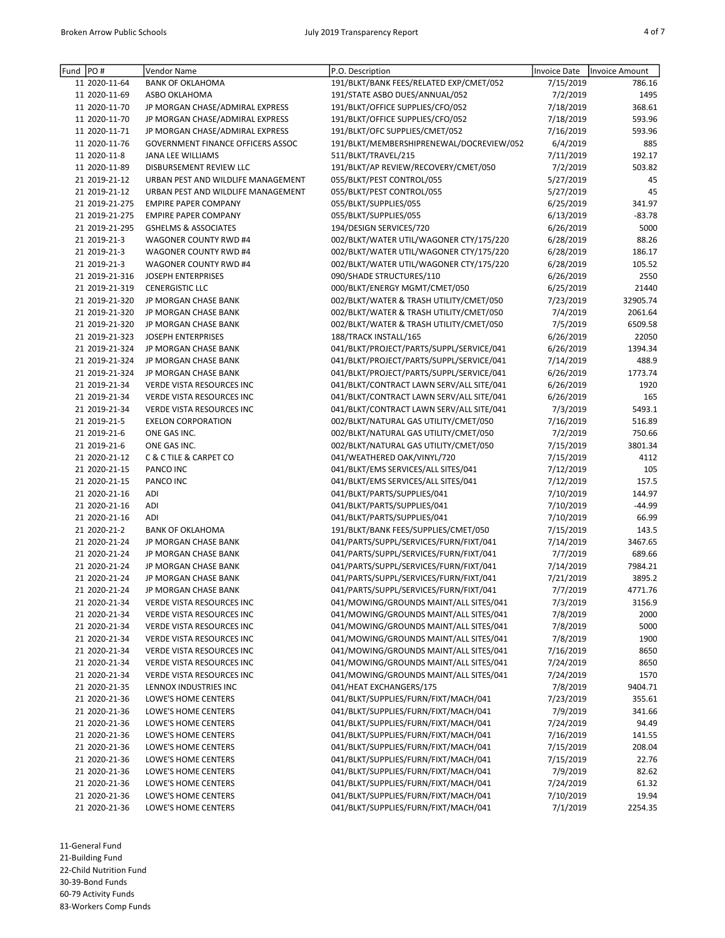| Fund | PO#            | Vendor Name                                | P.O. Description                         | <b>Invoice Date</b> | Invoice Amount    |
|------|----------------|--------------------------------------------|------------------------------------------|---------------------|-------------------|
|      | 11 2020-11-64  | <b>BANK OF OKLAHOMA</b>                    | 191/BLKT/BANK FEES/RELATED EXP/CMET/052  | 7/15/2019           | 786.16            |
|      | 11 2020-11-69  | ASBO OKLAHOMA                              | 191/STATE ASBO DUES/ANNUAL/052           | 7/2/2019            | 1495              |
|      | 11 2020-11-70  | JP MORGAN CHASE/ADMIRAL EXPRESS            | 191/BLKT/OFFICE SUPPLIES/CFO/052         | 7/18/2019           | 368.61            |
|      | 11 2020-11-70  | JP MORGAN CHASE/ADMIRAL EXPRESS            | 191/BLKT/OFFICE SUPPLIES/CFO/052         |                     | 593.96            |
|      | 11 2020-11-71  |                                            | 191/BLKT/OFC SUPPLIES/CMET/052           | 7/18/2019           |                   |
|      |                | JP MORGAN CHASE/ADMIRAL EXPRESS            |                                          | 7/16/2019           | 593.96            |
|      | 11 2020-11-76  | <b>GOVERNMENT FINANCE OFFICERS ASSOC</b>   | 191/BLKT/MEMBERSHIPRENEWAL/DOCREVIEW/052 | 6/4/2019            | 885               |
|      | 11 2020-11-8   | JANA LEE WILLIAMS                          | 511/BLKT/TRAVEL/215                      | 7/11/2019           | 192.17            |
|      | 11 2020-11-89  | DISBURSEMENT REVIEW LLC                    | 191/BLKT/AP REVIEW/RECOVERY/CMET/050     | 7/2/2019            | 503.82            |
|      | 21 2019-21-12  | URBAN PEST AND WILDLIFE MANAGEMENT         | 055/BLKT/PEST CONTROL/055                | 5/27/2019           | 45                |
|      | 21 2019-21-12  | URBAN PEST AND WILDLIFE MANAGEMENT         | 055/BLKT/PEST CONTROL/055                | 5/27/2019           | 45                |
|      | 21 2019-21-275 | <b>EMPIRE PAPER COMPANY</b>                | 055/BLKT/SUPPLIES/055                    | 6/25/2019           | 341.97            |
|      | 21 2019-21-275 | <b>EMPIRE PAPER COMPANY</b>                | 055/BLKT/SUPPLIES/055                    | 6/13/2019           | $-83.78$          |
|      | 21 2019-21-295 | <b>GSHELMS &amp; ASSOCIATES</b>            | 194/DESIGN SERVICES/720                  | 6/26/2019           | 5000              |
|      | 21 2019-21-3   | WAGONER COUNTY RWD #4                      | 002/BLKT/WATER UTIL/WAGONER CTY/175/220  | 6/28/2019           | 88.26             |
|      | 21 2019-21-3   | WAGONER COUNTY RWD #4                      | 002/BLKT/WATER UTIL/WAGONER CTY/175/220  | 6/28/2019           | 186.17            |
|      | 21 2019-21-3   | WAGONER COUNTY RWD #4                      | 002/BLKT/WATER UTIL/WAGONER CTY/175/220  | 6/28/2019           | 105.52            |
|      | 21 2019-21-316 | <b>JOSEPH ENTERPRISES</b>                  | 090/SHADE STRUCTURES/110                 | 6/26/2019           | 2550              |
|      | 21 2019-21-319 | <b>CENERGISTIC LLC</b>                     | 000/BLKT/ENERGY MGMT/CMET/050            | 6/25/2019           | 21440             |
|      | 21 2019-21-320 | JP MORGAN CHASE BANK                       | 002/BLKT/WATER & TRASH UTILITY/CMET/050  | 7/23/2019           | 32905.74          |
|      | 21 2019-21-320 | JP MORGAN CHASE BANK                       | 002/BLKT/WATER & TRASH UTILITY/CMET/050  | 7/4/2019            | 2061.64           |
|      | 21 2019-21-320 | JP MORGAN CHASE BANK                       | 002/BLKT/WATER & TRASH UTILITY/CMET/050  | 7/5/2019            | 6509.58           |
|      | 21 2019-21-323 | <b>JOSEPH ENTERPRISES</b>                  | 188/TRACK INSTALL/165                    | 6/26/2019           | 22050             |
|      | 21 2019-21-324 | JP MORGAN CHASE BANK                       | 041/BLKT/PROJECT/PARTS/SUPPL/SERVICE/041 | 6/26/2019           | 1394.34           |
|      | 21 2019-21-324 | JP MORGAN CHASE BANK                       | 041/BLKT/PROJECT/PARTS/SUPPL/SERVICE/041 | 7/14/2019           | 488.9             |
|      | 21 2019-21-324 | JP MORGAN CHASE BANK                       | 041/BLKT/PROJECT/PARTS/SUPPL/SERVICE/041 | 6/26/2019           | 1773.74           |
|      | 21 2019-21-34  | <b>VERDE VISTA RESOURCES INC</b>           | 041/BLKT/CONTRACT LAWN SERV/ALL SITE/041 | 6/26/2019           | 1920              |
|      | 21 2019-21-34  | <b>VERDE VISTA RESOURCES INC</b>           | 041/BLKT/CONTRACT LAWN SERV/ALL SITE/041 | 6/26/2019           | 165               |
|      | 21 2019-21-34  | <b>VERDE VISTA RESOURCES INC</b>           | 041/BLKT/CONTRACT LAWN SERV/ALL SITE/041 | 7/3/2019            | 5493.1            |
|      | 21 2019-21-5   | <b>EXELON CORPORATION</b>                  | 002/BLKT/NATURAL GAS UTILITY/CMET/050    | 7/16/2019           | 516.89            |
|      | 21 2019-21-6   | ONE GAS INC.                               | 002/BLKT/NATURAL GAS UTILITY/CMET/050    | 7/2/2019            | 750.66            |
|      | 21 2019-21-6   | ONE GAS INC.                               | 002/BLKT/NATURAL GAS UTILITY/CMET/050    | 7/15/2019           | 3801.34           |
|      | 21 2020-21-12  | C & C TILE & CARPET CO                     | 041/WEATHERED OAK/VINYL/720              | 7/15/2019           | 4112              |
|      | 21 2020-21-15  | PANCO INC                                  | 041/BLKT/EMS SERVICES/ALL SITES/041      | 7/12/2019           | 105               |
|      | 21 2020-21-15  | PANCO INC                                  | 041/BLKT/EMS SERVICES/ALL SITES/041      | 7/12/2019           | 157.5             |
|      | 21 2020-21-16  | ADI                                        | 041/BLKT/PARTS/SUPPLIES/041              | 7/10/2019           | 144.97            |
|      | 21 2020-21-16  | ADI                                        | 041/BLKT/PARTS/SUPPLIES/041              | 7/10/2019           | $-44.99$          |
|      | 21 2020-21-16  | ADI                                        | 041/BLKT/PARTS/SUPPLIES/041              | 7/10/2019           | 66.99             |
|      | 21 2020-21-2   | <b>BANK OF OKLAHOMA</b>                    | 191/BLKT/BANK FEES/SUPPLIES/CMET/050     | 7/15/2019           | 143.5             |
|      | 21 2020-21-24  | JP MORGAN CHASE BANK                       | 041/PARTS/SUPPL/SERVICES/FURN/FIXT/041   | 7/14/2019           | 3467.65           |
|      | 21 2020-21-24  | JP MORGAN CHASE BANK                       | 041/PARTS/SUPPL/SERVICES/FURN/FIXT/041   | 7/7/2019            | 689.66            |
|      | 21 2020-21-24  | JP MORGAN CHASE BANK                       | 041/PARTS/SUPPL/SERVICES/FURN/FIXT/041   | 7/14/2019           | 7984.21           |
|      | 21 2020-21-24  | JP MORGAN CHASE BANK                       | 041/PARTS/SUPPL/SERVICES/FURN/FIXT/041   | 7/21/2019           | 3895.2            |
|      | 21 2020-21-24  | JP MORGAN CHASE BANK                       | 041/PARTS/SUPPL/SERVICES/FURN/FIXT/041   | 7/7/2019            | 4771.76           |
|      | 21 2020-21-34  | VERDE VISTA RESOURCES INC                  | 041/MOWING/GROUNDS MAINT/ALL SITES/041   | 7/3/2019            | 3156.9            |
|      | 21 2020-21-34  | VERDE VISTA RESOURCES INC                  | 041/MOWING/GROUNDS MAINT/ALL SITES/041   | 7/8/2019            | 2000              |
|      | 21 2020-21-34  | <b>VERDE VISTA RESOURCES INC</b>           | 041/MOWING/GROUNDS MAINT/ALL SITES/041   | 7/8/2019            | 5000              |
|      | 21 2020-21-34  | VERDE VISTA RESOURCES INC                  | 041/MOWING/GROUNDS MAINT/ALL SITES/041   | 7/8/2019            | 1900              |
|      | 21 2020-21-34  | VERDE VISTA RESOURCES INC                  | 041/MOWING/GROUNDS MAINT/ALL SITES/041   | 7/16/2019           | 8650              |
|      | 21 2020-21-34  | VERDE VISTA RESOURCES INC                  | 041/MOWING/GROUNDS MAINT/ALL SITES/041   | 7/24/2019           | 8650              |
|      | 21 2020-21-34  | VERDE VISTA RESOURCES INC                  | 041/MOWING/GROUNDS MAINT/ALL SITES/041   | 7/24/2019           | 1570              |
|      | 21 2020-21-35  | LENNOX INDUSTRIES INC                      | 041/HEAT EXCHANGERS/175                  |                     |                   |
|      |                |                                            | 041/BLKT/SUPPLIES/FURN/FIXT/MACH/041     | 7/8/2019            | 9404.71<br>355.61 |
|      | 21 2020-21-36  | LOWE'S HOME CENTERS<br>LOWE'S HOME CENTERS | 041/BLKT/SUPPLIES/FURN/FIXT/MACH/041     | 7/23/2019           |                   |
|      | 21 2020-21-36  |                                            |                                          | 7/9/2019            | 341.66            |
|      | 21 2020-21-36  | LOWE'S HOME CENTERS                        | 041/BLKT/SUPPLIES/FURN/FIXT/MACH/041     | 7/24/2019           | 94.49             |
|      | 21 2020-21-36  | LOWE'S HOME CENTERS                        | 041/BLKT/SUPPLIES/FURN/FIXT/MACH/041     | 7/16/2019           | 141.55            |
|      | 21 2020-21-36  | LOWE'S HOME CENTERS                        | 041/BLKT/SUPPLIES/FURN/FIXT/MACH/041     | 7/15/2019           | 208.04            |
|      | 21 2020-21-36  | LOWE'S HOME CENTERS                        | 041/BLKT/SUPPLIES/FURN/FIXT/MACH/041     | 7/15/2019           | 22.76             |
|      | 21 2020-21-36  | LOWE'S HOME CENTERS                        | 041/BLKT/SUPPLIES/FURN/FIXT/MACH/041     | 7/9/2019            | 82.62             |
|      | 21 2020-21-36  | LOWE'S HOME CENTERS                        | 041/BLKT/SUPPLIES/FURN/FIXT/MACH/041     | 7/24/2019           | 61.32             |
|      | 21 2020-21-36  | LOWE'S HOME CENTERS                        | 041/BLKT/SUPPLIES/FURN/FIXT/MACH/041     | 7/10/2019           | 19.94             |
|      | 21 2020-21-36  | LOWE'S HOME CENTERS                        | 041/BLKT/SUPPLIES/FURN/FIXT/MACH/041     | 7/1/2019            | 2254.35           |

11-General Fund 21-Building Fund 22-Child Nutrition Fund 30-39-Bond Funds 60-79 Activity Funds

83-Workers Comp Funds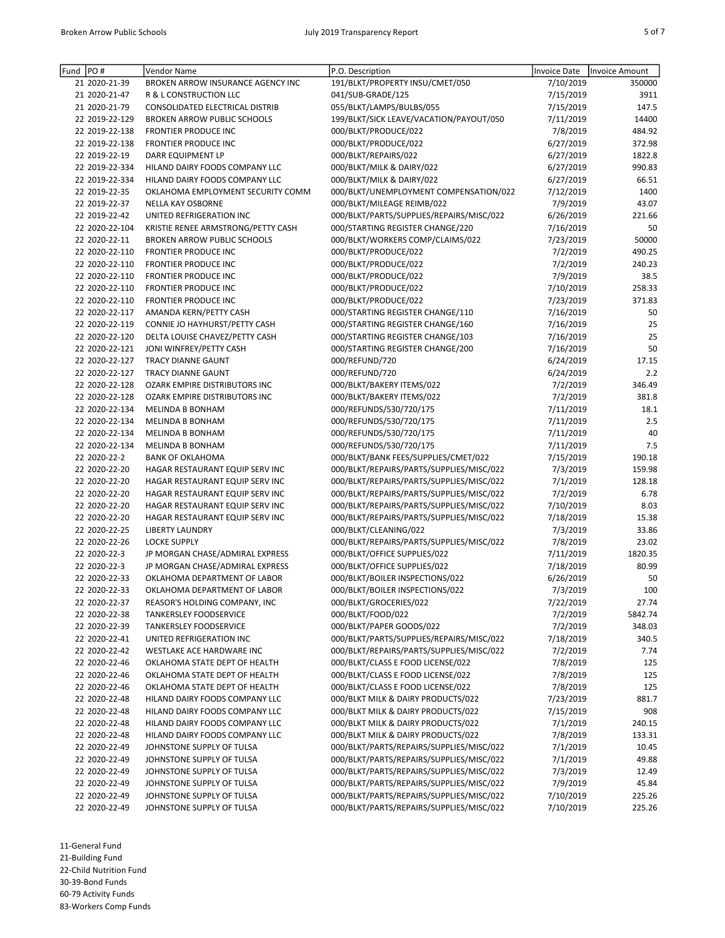| Fund | PO#                            | Vendor Name                                                | P.O. Description                                                       | <b>Invoice Date</b>  | Invoice Amount |
|------|--------------------------------|------------------------------------------------------------|------------------------------------------------------------------------|----------------------|----------------|
|      | 21 2020-21-39                  | BROKEN ARROW INSURANCE AGENCY INC                          | 191/BLKT/PROPERTY INSU/CMET/050                                        | 7/10/2019            | 350000         |
|      | 21 2020-21-47                  | <b>R &amp; L CONSTRUCTION LLC</b>                          | 041/SUB-GRADE/125                                                      | 7/15/2019            | 3911           |
|      | 21 2020-21-79                  | CONSOLIDATED ELECTRICAL DISTRIB                            | 055/BLKT/LAMPS/BULBS/055                                               | 7/15/2019            | 147.5          |
|      | 22 2019-22-129                 | <b>BROKEN ARROW PUBLIC SCHOOLS</b>                         | 199/BLKT/SICK LEAVE/VACATION/PAYOUT/050                                | 7/11/2019            | 14400          |
|      | 22 2019-22-138                 | <b>FRONTIER PRODUCE INC</b>                                | 000/BLKT/PRODUCE/022                                                   | 7/8/2019             | 484.92         |
|      | 22 2019-22-138                 | <b>FRONTIER PRODUCE INC</b>                                | 000/BLKT/PRODUCE/022                                                   | 6/27/2019            | 372.98         |
|      | 22 2019-22-19                  | DARR EQUIPMENT LP                                          | 000/BLKT/REPAIRS/022                                                   | 6/27/2019            | 1822.8         |
|      | 22 2019-22-334                 | HILAND DAIRY FOODS COMPANY LLC                             | 000/BLKT/MILK & DAIRY/022                                              | 6/27/2019            | 990.83         |
|      | 22 2019-22-334                 | HILAND DAIRY FOODS COMPANY LLC                             | 000/BLKT/MILK & DAIRY/022                                              | 6/27/2019            | 66.51          |
|      | 22 2019-22-35                  | OKLAHOMA EMPLOYMENT SECURITY COMM                          | 000/BLKT/UNEMPLOYMENT COMPENSATION/022                                 | 7/12/2019            | 1400           |
|      | 22 2019-22-37                  | <b>NELLA KAY OSBORNE</b>                                   | 000/BLKT/MILEAGE REIMB/022                                             | 7/9/2019             | 43.07          |
|      | 22 2019-22-42                  | UNITED REFRIGERATION INC                                   | 000/BLKT/PARTS/SUPPLIES/REPAIRS/MISC/022                               | 6/26/2019            | 221.66         |
|      | 22 2020-22-104                 | KRISTIE RENEE ARMSTRONG/PETTY CASH                         | 000/STARTING REGISTER CHANGE/220                                       | 7/16/2019            | 50             |
|      | 22 2020-22-11                  | <b>BROKEN ARROW PUBLIC SCHOOLS</b>                         | 000/BLKT/WORKERS COMP/CLAIMS/022                                       | 7/23/2019            | 50000          |
|      | 22 2020-22-110                 | <b>FRONTIER PRODUCE INC</b>                                | 000/BLKT/PRODUCE/022                                                   | 7/2/2019             | 490.25         |
|      | 22 2020-22-110                 | <b>FRONTIER PRODUCE INC</b>                                | 000/BLKT/PRODUCE/022                                                   | 7/2/2019             | 240.23         |
|      | 22 2020-22-110                 | <b>FRONTIER PRODUCE INC</b>                                | 000/BLKT/PRODUCE/022                                                   | 7/9/2019             | 38.5           |
|      | 22 2020-22-110                 | FRONTIER PRODUCE INC                                       | 000/BLKT/PRODUCE/022                                                   | 7/10/2019            | 258.33         |
|      | 22 2020-22-110                 | <b>FRONTIER PRODUCE INC</b>                                | 000/BLKT/PRODUCE/022                                                   | 7/23/2019            | 371.83         |
|      | 22 2020-22-117                 | AMANDA KERN/PETTY CASH                                     | 000/STARTING REGISTER CHANGE/110                                       | 7/16/2019            | 50             |
|      | 22 2020-22-119                 | CONNIE JO HAYHURST/PETTY CASH                              | 000/STARTING REGISTER CHANGE/160                                       | 7/16/2019            | 25             |
|      | 22 2020-22-120                 | DELTA LOUISE CHAVEZ/PETTY CASH                             | 000/STARTING REGISTER CHANGE/103                                       | 7/16/2019            | 25             |
|      | 22 2020-22-121                 | JONI WINFREY/PETTY CASH                                    | 000/STARTING REGISTER CHANGE/200                                       | 7/16/2019            | 50             |
|      | 22 2020-22-127                 | <b>TRACY DIANNE GAUNT</b>                                  | 000/REFUND/720                                                         | 6/24/2019            | 17.15          |
|      | 22 2020-22-127                 | TRACY DIANNE GAUNT                                         | 000/REFUND/720                                                         | 6/24/2019            | 2.2            |
|      | 22 2020-22-128                 | OZARK EMPIRE DISTRIBUTORS INC                              | 000/BLKT/BAKERY ITEMS/022                                              | 7/2/2019             | 346.49         |
|      | 22 2020-22-128                 | OZARK EMPIRE DISTRIBUTORS INC                              | 000/BLKT/BAKERY ITEMS/022                                              | 7/2/2019             | 381.8          |
|      | 22 2020-22-134                 | <b>MELINDA B BONHAM</b>                                    | 000/REFUNDS/530/720/175                                                | 7/11/2019            | 18.1           |
|      | 22 2020-22-134                 | MELINDA B BONHAM                                           | 000/REFUNDS/530/720/175                                                | 7/11/2019            | 2.5            |
|      | 22 2020-22-134                 | MELINDA B BONHAM                                           | 000/REFUNDS/530/720/175                                                | 7/11/2019            | 40             |
|      | 22 2020-22-134                 | <b>MELINDA B BONHAM</b>                                    | 000/REFUNDS/530/720/175                                                | 7/11/2019            | 7.5            |
|      | 22 2020-22-2                   | <b>BANK OF OKLAHOMA</b>                                    | 000/BLKT/BANK FEES/SUPPLIES/CMET/022                                   | 7/15/2019            | 190.18         |
|      | 22 2020-22-20                  | HAGAR RESTAURANT EQUIP SERV INC                            | 000/BLKT/REPAIRS/PARTS/SUPPLIES/MISC/022                               | 7/3/2019             | 159.98         |
|      | 22 2020-22-20                  | HAGAR RESTAURANT EQUIP SERV INC                            | 000/BLKT/REPAIRS/PARTS/SUPPLIES/MISC/022                               | 7/1/2019             | 128.18         |
|      | 22 2020-22-20                  | HAGAR RESTAURANT EQUIP SERV INC                            | 000/BLKT/REPAIRS/PARTS/SUPPLIES/MISC/022                               | 7/2/2019             | 6.78           |
|      | 22 2020-22-20                  | HAGAR RESTAURANT EQUIP SERV INC                            | 000/BLKT/REPAIRS/PARTS/SUPPLIES/MISC/022                               | 7/10/2019            | 8.03           |
|      | 22 2020-22-20                  | HAGAR RESTAURANT EQUIP SERV INC                            | 000/BLKT/REPAIRS/PARTS/SUPPLIES/MISC/022                               | 7/18/2019            | 15.38          |
|      | 22 2020-22-25                  | <b>LIBERTY LAUNDRY</b>                                     | 000/BLKT/CLEANING/022                                                  | 7/3/2019             | 33.86          |
|      | 22 2020-22-26                  | <b>LOCKE SUPPLY</b>                                        | 000/BLKT/REPAIRS/PARTS/SUPPLIES/MISC/022                               | 7/8/2019             | 23.02          |
|      | 22 2020-22-3                   | JP MORGAN CHASE/ADMIRAL EXPRESS                            | 000/BLKT/OFFICE SUPPLIES/022                                           | 7/11/2019            | 1820.35        |
|      | 22 2020-22-3                   | JP MORGAN CHASE/ADMIRAL EXPRESS                            | 000/BLKT/OFFICE SUPPLIES/022                                           | 7/18/2019            | 80.99          |
|      | 22 2020-22-33                  | OKLAHOMA DEPARTMENT OF LABOR                               | 000/BLKT/BOILER INSPECTIONS/022                                        | 6/26/2019            | 50             |
|      | 22 2020-22-33                  | OKLAHOMA DEPARTMENT OF LABOR                               | 000/BLKT/BOILER INSPECTIONS/022                                        | 7/3/2019             | 100            |
|      | 22 2020-22-37                  | REASOR'S HOLDING COMPANY, INC                              | 000/BLKT/GROCERIES/022                                                 | 7/22/2019            | 27.74          |
|      | 22 2020-22-38                  | <b>TANKERSLEY FOODSERVICE</b>                              | 000/BLKT/FOOD/022                                                      | 7/2/2019             | 5842.74        |
|      | 22 2020-22-39                  | <b>TANKERSLEY FOODSERVICE</b>                              | 000/BLKT/PAPER GOODS/022                                               | 7/2/2019             | 348.03         |
|      | 22 2020-22-41                  | UNITED REFRIGERATION INC                                   | 000/BLKT/PARTS/SUPPLIES/REPAIRS/MISC/022                               | 7/18/2019            | 340.5          |
|      | 22 2020-22-42<br>22 2020-22-46 | WESTLAKE ACE HARDWARE INC<br>OKLAHOMA STATE DEPT OF HEALTH | 000/BLKT/REPAIRS/PARTS/SUPPLIES/MISC/022                               | 7/2/2019             | 7.74           |
|      | 22 2020-22-46                  | OKLAHOMA STATE DEPT OF HEALTH                              | 000/BLKT/CLASS E FOOD LICENSE/022<br>000/BLKT/CLASS E FOOD LICENSE/022 | 7/8/2019<br>7/8/2019 | 125<br>125     |
|      | 22 2020-22-46                  | OKLAHOMA STATE DEPT OF HEALTH                              | 000/BLKT/CLASS E FOOD LICENSE/022                                      | 7/8/2019             | 125            |
|      | 22 2020-22-48                  | HILAND DAIRY FOODS COMPANY LLC                             | 000/BLKT MILK & DAIRY PRODUCTS/022                                     | 7/23/2019            | 881.7          |
|      | 22 2020-22-48                  | HILAND DAIRY FOODS COMPANY LLC                             | 000/BLKT MILK & DAIRY PRODUCTS/022                                     | 7/15/2019            | 908            |
|      | 22 2020-22-48                  | HILAND DAIRY FOODS COMPANY LLC                             | 000/BLKT MILK & DAIRY PRODUCTS/022                                     | 7/1/2019             | 240.15         |
|      | 22 2020-22-48                  | HILAND DAIRY FOODS COMPANY LLC                             | 000/BLKT MILK & DAIRY PRODUCTS/022                                     | 7/8/2019             | 133.31         |
|      | 22 2020-22-49                  | JOHNSTONE SUPPLY OF TULSA                                  | 000/BLKT/PARTS/REPAIRS/SUPPLIES/MISC/022                               | 7/1/2019             | 10.45          |
|      | 22 2020-22-49                  | JOHNSTONE SUPPLY OF TULSA                                  | 000/BLKT/PARTS/REPAIRS/SUPPLIES/MISC/022                               | 7/1/2019             | 49.88          |
|      | 22 2020-22-49                  | JOHNSTONE SUPPLY OF TULSA                                  | 000/BLKT/PARTS/REPAIRS/SUPPLIES/MISC/022                               | 7/3/2019             | 12.49          |
|      | 22 2020-22-49                  | JOHNSTONE SUPPLY OF TULSA                                  | 000/BLKT/PARTS/REPAIRS/SUPPLIES/MISC/022                               | 7/9/2019             | 45.84          |
|      | 22 2020-22-49                  | JOHNSTONE SUPPLY OF TULSA                                  | 000/BLKT/PARTS/REPAIRS/SUPPLIES/MISC/022                               | 7/10/2019            | 225.26         |
|      | 22 2020-22-49                  | JOHNSTONE SUPPLY OF TULSA                                  | 000/BLKT/PARTS/REPAIRS/SUPPLIES/MISC/022                               | 7/10/2019            | 225.26         |

11-General Fund

21-Building Fund

22-Child Nutrition Fund

30-39-Bond Funds

60-79 Activity Funds

83-Workers Comp Funds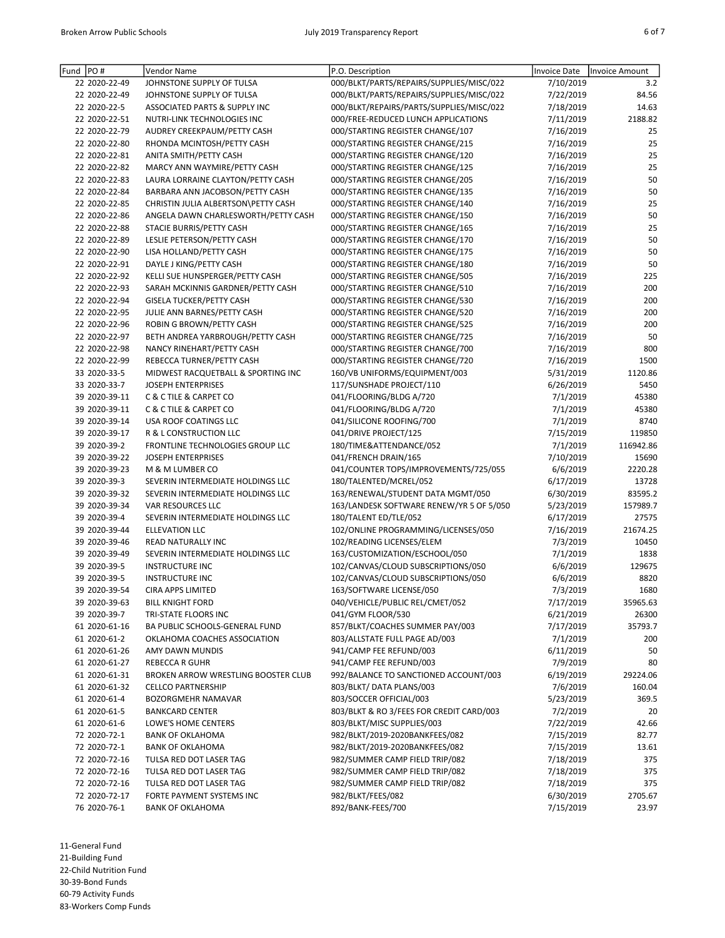| Fund PO# |               | Vendor Name                           | P.O. Description                         | Invoice Date | <b>Invoice Amount</b> |
|----------|---------------|---------------------------------------|------------------------------------------|--------------|-----------------------|
|          | 22 2020-22-49 | JOHNSTONE SUPPLY OF TULSA             | 000/BLKT/PARTS/REPAIRS/SUPPLIES/MISC/022 | 7/10/2019    | 3.2                   |
|          | 22 2020-22-49 | JOHNSTONE SUPPLY OF TULSA             | 000/BLKT/PARTS/REPAIRS/SUPPLIES/MISC/022 | 7/22/2019    | 84.56                 |
|          | 22 2020-22-5  | ASSOCIATED PARTS & SUPPLY INC         | 000/BLKT/REPAIRS/PARTS/SUPPLIES/MISC/022 | 7/18/2019    | 14.63                 |
|          | 22 2020-22-51 | NUTRI-LINK TECHNOLOGIES INC           | 000/FREE-REDUCED LUNCH APPLICATIONS      | 7/11/2019    | 2188.82               |
|          | 22 2020-22-79 | AUDREY CREEKPAUM/PETTY CASH           | 000/STARTING REGISTER CHANGE/107         | 7/16/2019    | 25                    |
|          | 22 2020-22-80 | RHONDA MCINTOSH/PETTY CASH            | 000/STARTING REGISTER CHANGE/215         | 7/16/2019    | 25                    |
|          | 22 2020-22-81 | ANITA SMITH/PETTY CASH                | 000/STARTING REGISTER CHANGE/120         | 7/16/2019    | 25                    |
|          | 22 2020-22-82 | MARCY ANN WAYMIRE/PETTY CASH          | 000/STARTING REGISTER CHANGE/125         | 7/16/2019    | 25                    |
|          | 22 2020-22-83 | LAURA LORRAINE CLAYTON/PETTY CASH     | 000/STARTING REGISTER CHANGE/205         | 7/16/2019    | 50                    |
|          | 22 2020-22-84 | BARBARA ANN JACOBSON/PETTY CASH       | 000/STARTING REGISTER CHANGE/135         | 7/16/2019    | 50                    |
|          | 22 2020-22-85 | CHRISTIN JULIA ALBERTSON\PETTY CASH   | 000/STARTING REGISTER CHANGE/140         | 7/16/2019    | 25                    |
|          | 22 2020-22-86 | ANGELA DAWN CHARLESWORTH/PETTY CASH   | 000/STARTING REGISTER CHANGE/150         | 7/16/2019    | 50                    |
|          | 22 2020-22-88 | STACIE BURRIS/PETTY CASH              | 000/STARTING REGISTER CHANGE/165         | 7/16/2019    | 25                    |
|          | 22 2020-22-89 | LESLIE PETERSON/PETTY CASH            | 000/STARTING REGISTER CHANGE/170         | 7/16/2019    | 50                    |
|          | 22 2020-22-90 | LISA HOLLAND/PETTY CASH               | 000/STARTING REGISTER CHANGE/175         | 7/16/2019    | 50                    |
|          | 22 2020-22-91 | DAYLE J KING/PETTY CASH               | 000/STARTING REGISTER CHANGE/180         | 7/16/2019    | 50                    |
|          | 22 2020-22-92 | KELLI SUE HUNSPERGER/PETTY CASH       | 000/STARTING REGISTER CHANGE/505         | 7/16/2019    | 225                   |
|          | 22 2020-22-93 | SARAH MCKINNIS GARDNER/PETTY CASH     | 000/STARTING REGISTER CHANGE/510         | 7/16/2019    | 200                   |
|          | 22 2020-22-94 | <b>GISELA TUCKER/PETTY CASH</b>       | 000/STARTING REGISTER CHANGE/530         | 7/16/2019    | 200                   |
|          | 22 2020-22-95 | JULIE ANN BARNES/PETTY CASH           | 000/STARTING REGISTER CHANGE/520         | 7/16/2019    | 200                   |
|          | 22 2020-22-96 | ROBIN G BROWN/PETTY CASH              | 000/STARTING REGISTER CHANGE/525         | 7/16/2019    | 200                   |
|          | 22 2020-22-97 | BETH ANDREA YARBROUGH/PETTY CASH      | 000/STARTING REGISTER CHANGE/725         | 7/16/2019    | 50                    |
|          | 22 2020-22-98 | NANCY RINEHART/PETTY CASH             | 000/STARTING REGISTER CHANGE/700         | 7/16/2019    | 800                   |
|          | 22 2020-22-99 | REBECCA TURNER/PETTY CASH             | 000/STARTING REGISTER CHANGE/720         | 7/16/2019    | 1500                  |
|          | 33 2020-33-5  | MIDWEST RACQUETBALL & SPORTING INC    | 160/VB UNIFORMS/EQUIPMENT/003            | 5/31/2019    | 1120.86               |
|          | 33 2020-33-7  | <b>JOSEPH ENTERPRISES</b>             | 117/SUNSHADE PROJECT/110                 | 6/26/2019    | 5450                  |
|          | 39 2020-39-11 | <b>C &amp; C TILE &amp; CARPET CO</b> | 041/FLOORING/BLDG A/720                  | 7/1/2019     | 45380                 |
|          | 39 2020-39-11 | <b>C &amp; C TILE &amp; CARPET CO</b> | 041/FLOORING/BLDG A/720                  | 7/1/2019     | 45380                 |
|          | 39 2020-39-14 | USA ROOF COATINGS LLC                 | 041/SILICONE ROOFING/700                 | 7/1/2019     | 8740                  |
|          | 39 2020-39-17 | R & L CONSTRUCTION LLC                | 041/DRIVE PROJECT/125                    | 7/15/2019    | 119850                |
|          | 39 2020-39-2  | FRONTLINE TECHNOLOGIES GROUP LLC      | 180/TIME&ATTENDANCE/052                  | 7/1/2019     | 116942.86             |
|          | 39 2020-39-22 | <b>JOSEPH ENTERPRISES</b>             | 041/FRENCH DRAIN/165                     | 7/10/2019    | 15690                 |
|          | 39 2020-39-23 | M & M LUMBER CO                       | 041/COUNTER TOPS/IMPROVEMENTS/725/055    | 6/6/2019     | 2220.28               |
|          | 39 2020-39-3  | SEVERIN INTERMEDIATE HOLDINGS LLC     | 180/TALENTED/MCREL/052                   | 6/17/2019    | 13728                 |
|          | 39 2020-39-32 | SEVERIN INTERMEDIATE HOLDINGS LLC     | 163/RENEWAL/STUDENT DATA MGMT/050        | 6/30/2019    | 83595.2               |
|          | 39 2020-39-34 | VAR RESOURCES LLC                     | 163/LANDESK SOFTWARE RENEW/YR 5 OF 5/050 | 5/23/2019    | 157989.7              |
|          | 39 2020-39-4  | SEVERIN INTERMEDIATE HOLDINGS LLC     | 180/TALENT ED/TLE/052                    | 6/17/2019    | 27575                 |
|          | 39 2020-39-44 | <b>ELLEVATION LLC</b>                 | 102/ONLINE PROGRAMMING/LICENSES/050      | 7/16/2019    | 21674.25              |
|          | 39 2020-39-46 | READ NATURALLY INC                    | 102/READING LICENSES/ELEM                | 7/3/2019     | 10450                 |
|          | 39 2020-39-49 | SEVERIN INTERMEDIATE HOLDINGS LLC     | 163/CUSTOMIZATION/ESCHOOL/050            | 7/1/2019     | 1838                  |
|          | 39 2020-39-5  | <b>INSTRUCTURE INC</b>                | 102/CANVAS/CLOUD SUBSCRIPTIONS/050       | 6/6/2019     | 129675                |
|          | 39 2020-39-5  | <b>INSTRUCTURE INC</b>                | 102/CANVAS/CLOUD SUBSCRIPTIONS/050       | 6/6/2019     | 8820                  |
|          | 39 2020-39-54 | <b>CIRA APPS LIMITED</b>              | 163/SOFTWARE LICENSE/050                 | 7/3/2019     | 1680                  |
|          | 39 2020-39-63 | <b>BILL KNIGHT FORD</b>               | 040/VEHICLE/PUBLIC REL/CMET/052          | 7/17/2019    | 35965.63              |
|          | 39 2020-39-7  | TRI-STATE FLOORS INC                  | 041/GYM FLOOR/530                        | 6/21/2019    | 26300                 |
|          | 61 2020-61-16 | BA PUBLIC SCHOOLS-GENERAL FUND        | 857/BLKT/COACHES SUMMER PAY/003          | 7/17/2019    | 35793.7               |
|          | 61 2020-61-2  | OKLAHOMA COACHES ASSOCIATION          | 803/ALLSTATE FULL PAGE AD/003            | 7/1/2019     | 200                   |
|          | 61 2020-61-26 | AMY DAWN MUNDIS                       | 941/CAMP FEE REFUND/003                  | 6/11/2019    | 50                    |
|          | 61 2020-61-27 | REBECCA R GUHR                        | 941/CAMP FEE REFUND/003                  | 7/9/2019     | 80                    |
|          | 61 2020-61-31 | BROKEN ARROW WRESTLING BOOSTER CLUB   | 992/BALANCE TO SANCTIONED ACCOUNT/003    | 6/19/2019    | 29224.06              |
|          | 61 2020-61-32 | <b>CELLCO PARTNERSHIP</b>             | 803/BLKT/DATA PLANS/003                  | 7/6/2019     | 160.04                |
|          | 61 2020-61-4  | BOZORGMEHR NAMAVAR                    | 803/SOCCER OFFICIAL/003                  | 5/23/2019    | 369.5                 |
|          | 61 2020-61-5  | <b>BANKCARD CENTER</b>                | 803/BLKT & RO 3/FEES FOR CREDIT CARD/003 | 7/2/2019     | 20                    |
|          | 61 2020-61-6  | LOWE'S HOME CENTERS                   | 803/BLKT/MISC SUPPLIES/003               | 7/22/2019    | 42.66                 |
|          | 72 2020-72-1  | <b>BANK OF OKLAHOMA</b>               | 982/BLKT/2019-2020BANKFEES/082           | 7/15/2019    | 82.77                 |
|          | 72 2020-72-1  | <b>BANK OF OKLAHOMA</b>               | 982/BLKT/2019-2020BANKFEES/082           | 7/15/2019    | 13.61                 |
|          | 72 2020-72-16 | TULSA RED DOT LASER TAG               | 982/SUMMER CAMP FIELD TRIP/082           | 7/18/2019    | 375                   |
|          | 72 2020-72-16 | TULSA RED DOT LASER TAG               | 982/SUMMER CAMP FIELD TRIP/082           | 7/18/2019    | 375                   |
|          | 72 2020-72-16 | TULSA RED DOT LASER TAG               | 982/SUMMER CAMP FIELD TRIP/082           | 7/18/2019    | 375                   |
|          | 72 2020-72-17 | FORTE PAYMENT SYSTEMS INC             | 982/BLKT/FEES/082                        | 6/30/2019    | 2705.67               |
|          | 76 2020-76-1  | <b>BANK OF OKLAHOMA</b>               | 892/BANK-FEES/700                        | 7/15/2019    | 23.97                 |

11-General Fund

21-Building Fund

22-Child Nutrition Fund

30-39-Bond Funds

60-79 Activity Funds

83-Workers Comp Funds